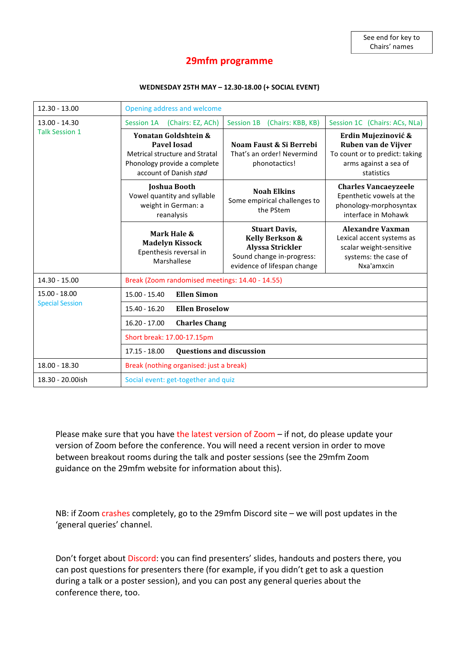# **29mfm programme**

#### **WEDNESDAY 25TH MAY – 12.30-18.00 (+ SOCIAL EVENT)**

| $12.30 - 13.00$                          | Opening address and welcome                                                                                                            |                                                                                                                                           |                                                                                                                       |  |
|------------------------------------------|----------------------------------------------------------------------------------------------------------------------------------------|-------------------------------------------------------------------------------------------------------------------------------------------|-----------------------------------------------------------------------------------------------------------------------|--|
| $13.00 - 14.30$<br><b>Talk Session 1</b> | Session 1A<br>(Chairs: EZ, ACh)                                                                                                        | <b>Session 1B</b><br>(Chairs: KBB, KB)                                                                                                    | Session 1C (Chairs: ACs, NLa)                                                                                         |  |
|                                          | Yonatan Goldshtein &<br>Pavel <b>Josad</b><br>Metrical structure and Stratal<br>Phonology provide a complete<br>account of Danish stød | Noam Faust & Si Berrebi<br>That's an order! Nevermind<br>phonotactics!                                                                    | Erdin Mujezinović &<br>Ruben van de Vijver<br>To count or to predict: taking<br>arms against a sea of<br>statistics   |  |
|                                          | <b>Joshua Booth</b><br>Vowel quantity and syllable<br>weight in German: a<br>reanalysis                                                | <b>Noah Elkins</b><br>Some empirical challenges to<br>the PStem                                                                           | <b>Charles Vancaeyzeele</b><br>Epenthetic vowels at the<br>phonology-morphosyntax<br>interface in Mohawk              |  |
|                                          | Mark Hale &<br><b>Madelyn Kissock</b><br>Epenthesis reversal in<br>Marshallese                                                         | <b>Stuart Davis,</b><br><b>Kelly Berkson &amp;</b><br><b>Alyssa Strickler</b><br>Sound change in-progress:<br>evidence of lifespan change | <b>Alexandre Vaxman</b><br>Lexical accent systems as<br>scalar weight-sensitive<br>systems: the case of<br>Nxa'amxcin |  |
| 14.30 - 15.00                            | Break (Zoom randomised meetings: 14.40 - 14.55)                                                                                        |                                                                                                                                           |                                                                                                                       |  |
| 15.00 - 18.00<br><b>Special Session</b>  | <b>Ellen Simon</b><br>$15.00 - 15.40$                                                                                                  |                                                                                                                                           |                                                                                                                       |  |
|                                          | <b>Ellen Broselow</b><br>$15.40 - 16.20$                                                                                               |                                                                                                                                           |                                                                                                                       |  |
|                                          | $16.20 - 17.00$<br><b>Charles Chang</b>                                                                                                |                                                                                                                                           |                                                                                                                       |  |
|                                          | Short break: 17.00-17.15pm                                                                                                             |                                                                                                                                           |                                                                                                                       |  |
|                                          | <b>Questions and discussion</b><br>$17.15 - 18.00$                                                                                     |                                                                                                                                           |                                                                                                                       |  |
| 18.00 - 18.30                            | Break (nothing organised: just a break)                                                                                                |                                                                                                                                           |                                                                                                                       |  |
| 18.30 - 20.00ish                         | Social event: get-together and quiz                                                                                                    |                                                                                                                                           |                                                                                                                       |  |

Please make sure that you have the latest version of Zoom  $-$  if not, do please update your version of Zoom before the conference. You will need a recent version in order to move between breakout rooms during the talk and poster sessions (see the 29mfm Zoom guidance on the 29mfm website for information about this).

NB: if Zoom crashes completely, go to the 29mfm Discord site – we will post updates in the 'general queries' channel.

Don't forget about Discord: you can find presenters' slides, handouts and posters there, you can post questions for presenters there (for example, if you didn't get to ask a question during a talk or a poster session), and you can post any general queries about the conference there, too.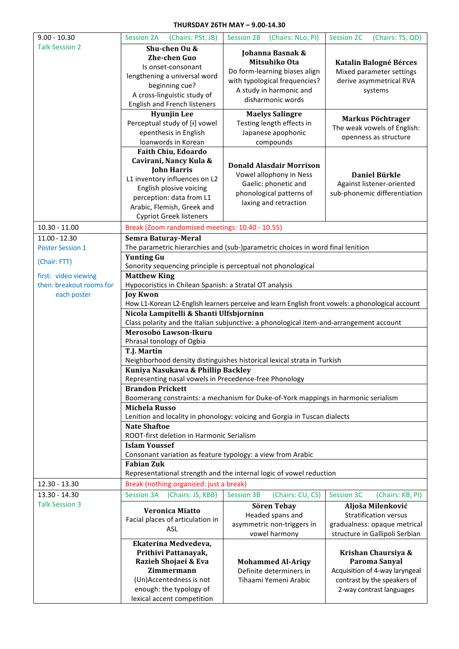#### **THURSDAY 26TH MAY – 9.00-14.30**

| $9.00 - 10.30$           | <b>Session 2A</b><br>(Chairs: PSt, JB)                                                                       | <b>Session 2B</b><br>(Chairs: NLo, PI)                                                            | <b>Session 2C</b><br>(Chairs: TS, QD) |  |  |  |
|--------------------------|--------------------------------------------------------------------------------------------------------------|---------------------------------------------------------------------------------------------------|---------------------------------------|--|--|--|
| <b>Talk Session 2</b>    | Shu-chen Ou &                                                                                                |                                                                                                   |                                       |  |  |  |
|                          |                                                                                                              | Johanna Basnak &                                                                                  |                                       |  |  |  |
|                          | <b>Zhe-chen Guo</b>                                                                                          | Mitsuhiko Ota                                                                                     | <b>Katalin Balogné Bérces</b>         |  |  |  |
|                          | Is onset-consonant                                                                                           | Do form-learning biases align                                                                     | Mixed parameter settings              |  |  |  |
|                          | lengthening a universal word                                                                                 | with typological frequencies?                                                                     | derive asymmetrical RVA               |  |  |  |
|                          | beginning cue?                                                                                               | A study in harmonic and                                                                           | systems                               |  |  |  |
|                          | A cross-linguistic study of                                                                                  | disharmonic words                                                                                 |                                       |  |  |  |
|                          | English and French listeners                                                                                 |                                                                                                   |                                       |  |  |  |
|                          | <b>Hyunjin Lee</b>                                                                                           | <b>Maelys Salingre</b>                                                                            | Markus Pöchtrager                     |  |  |  |
|                          | Perceptual study of [i] vowel                                                                                | Testing length effects in                                                                         | The weak vowels of English:           |  |  |  |
|                          | epenthesis in English                                                                                        | Japanese apophonic                                                                                | openness as structure                 |  |  |  |
|                          | loanwords in Korean                                                                                          | compounds                                                                                         |                                       |  |  |  |
|                          | Faith Chiu, Edoardo                                                                                          |                                                                                                   |                                       |  |  |  |
|                          | Cavirani, Nancy Kula &                                                                                       | <b>Donald Alasdair Morrison</b>                                                                   |                                       |  |  |  |
|                          | <b>John Harris</b>                                                                                           | Vowel allophony in Ness                                                                           | Daniel Bürkle                         |  |  |  |
|                          | L1 inventory influences on L2                                                                                | Gaelic: phonetic and                                                                              | Against listener-oriented             |  |  |  |
|                          | English plosive voicing                                                                                      | phonological patterns of                                                                          | sub-phonemic differentiation          |  |  |  |
|                          | perception: data from L1                                                                                     | laxing and retraction                                                                             |                                       |  |  |  |
|                          | Arabic, Flemish, Greek and                                                                                   |                                                                                                   |                                       |  |  |  |
|                          | <b>Cypriot Greek listeners</b>                                                                               |                                                                                                   |                                       |  |  |  |
| $10.30 - 11.00$          | Break (Zoom randomised meetings: 10.40 - 10.55)                                                              |                                                                                                   |                                       |  |  |  |
| $11.00 - 12.30$          | <b>Semra Baturay-Meral</b>                                                                                   |                                                                                                   |                                       |  |  |  |
| <b>Poster Session 1</b>  | The parametric hierarchies and (sub-)parametric choices in word final lenition                               |                                                                                                   |                                       |  |  |  |
|                          | <b>Yunting Gu</b>                                                                                            |                                                                                                   |                                       |  |  |  |
| (Chair: FTT)             | Sonority sequencing principle is perceptual not phonological                                                 |                                                                                                   |                                       |  |  |  |
| first: video viewing     | <b>Matthew King</b>                                                                                          |                                                                                                   |                                       |  |  |  |
| then: breakout rooms for | Hypocoristics in Chilean Spanish: a Stratal OT analysis                                                      |                                                                                                   |                                       |  |  |  |
| each poster              | <b>Joy Kwon</b>                                                                                              |                                                                                                   |                                       |  |  |  |
|                          |                                                                                                              | How L1-Korean L2-English learners perceive and learn English front vowels: a phonological account |                                       |  |  |  |
|                          | Nicola Lampitelli & Shanti Ulfsbjorninn                                                                      |                                                                                                   |                                       |  |  |  |
|                          |                                                                                                              | Class polarity and the Italian subjunctive: a phonological item-and-arrangement account           |                                       |  |  |  |
|                          | Merosobo Lawson-Ikuru                                                                                        |                                                                                                   |                                       |  |  |  |
|                          | Phrasal tonology of Ogbia                                                                                    |                                                                                                   |                                       |  |  |  |
|                          | T.J. Martin                                                                                                  |                                                                                                   |                                       |  |  |  |
|                          | Neighborhood density distinguishes historical lexical strata in Turkish<br>Kuniya Nasukawa & Phillip Backley |                                                                                                   |                                       |  |  |  |
|                          | Representing nasal vowels in Precedence-free Phonology                                                       |                                                                                                   |                                       |  |  |  |
|                          | <b>Brandon Prickett</b>                                                                                      |                                                                                                   |                                       |  |  |  |
|                          | Boomerang constraints: a mechanism for Duke-of-York mappings in harmonic serialism                           |                                                                                                   |                                       |  |  |  |
|                          | <b>Michela Russo</b>                                                                                         |                                                                                                   |                                       |  |  |  |
|                          |                                                                                                              | Lenition and locality in phonology: voicing and Gorgia in Tuscan dialects                         |                                       |  |  |  |
|                          | <b>Nate Shaftoe</b>                                                                                          |                                                                                                   |                                       |  |  |  |
|                          | ROOT-first deletion in Harmonic Serialism                                                                    |                                                                                                   |                                       |  |  |  |
|                          | <b>Islam Youssef</b>                                                                                         |                                                                                                   |                                       |  |  |  |
|                          | Consonant variation as feature typology: a view from Arabic                                                  |                                                                                                   |                                       |  |  |  |
|                          | <b>Fabian Zuk</b>                                                                                            |                                                                                                   |                                       |  |  |  |
|                          |                                                                                                              | Representational strength and the internal logic of vowel reduction                               |                                       |  |  |  |
| 12.30 - 13.30            | Break (nothing organised: just a break)                                                                      |                                                                                                   |                                       |  |  |  |
| 13.30 - 14.30            | <b>Session 3A</b><br>(Chairs: JS, KBB)                                                                       | <b>Session 3B</b><br>(Chairs: CU, CS)                                                             | <b>Session 3C</b><br>(Chairs: KB, PI) |  |  |  |
| <b>Talk Session 3</b>    |                                                                                                              | Sören Tebay                                                                                       | Aljoša Milenković                     |  |  |  |
|                          | <b>Veronica Miatto</b>                                                                                       | Headed spans and                                                                                  | <b>Stratification versus</b>          |  |  |  |
|                          | Facial places of articulation in<br>ASL                                                                      | asymmetric non-triggers in                                                                        | gradualness: opaque metrical          |  |  |  |
|                          |                                                                                                              | vowel harmony                                                                                     | structure in Gallipoli Serbian        |  |  |  |
|                          | Ekaterina Medvedeva,                                                                                         |                                                                                                   |                                       |  |  |  |
|                          | Prithivi Pattanayak,                                                                                         |                                                                                                   | Krishan Chaursiya &                   |  |  |  |
|                          | Razieh Shojaei & Eva                                                                                         | <b>Mohammed Al-Ariqy</b>                                                                          | Paroma Sanyal                         |  |  |  |
|                          | Zimmermann                                                                                                   | Definite determiners in                                                                           | Acquisition of 4-way laryngeal        |  |  |  |
|                          | (Un)Accentedness is not                                                                                      | Tihaami Yemeni Arabic                                                                             | contrast by the speakers of           |  |  |  |
|                          | enough: the typology of                                                                                      |                                                                                                   | 2-way contrast languages              |  |  |  |
|                          | lexical accent competition                                                                                   |                                                                                                   |                                       |  |  |  |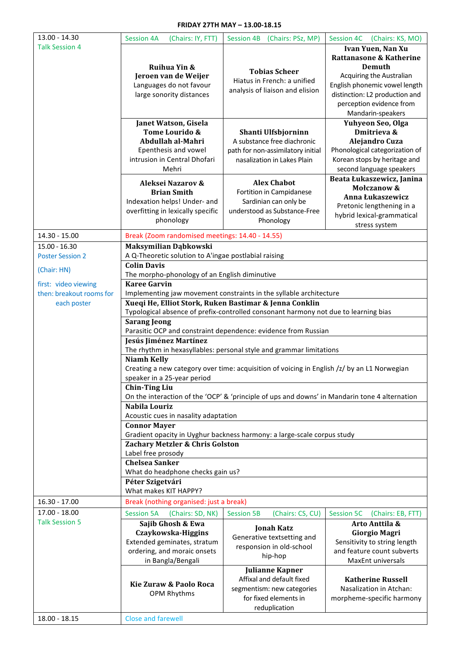### **FRIDAY 27TH MAY – 13.00-18.15**

| 13.00 - 14.30            | <b>Session 4A</b><br>(Chairs: IY, FTT)                                                                            | <b>Session 4B</b><br>(Chairs: PSz, MP)                                                        | Session 4C<br>(Chairs: KS, MO)         |  |  |  |
|--------------------------|-------------------------------------------------------------------------------------------------------------------|-----------------------------------------------------------------------------------------------|----------------------------------------|--|--|--|
| <b>Talk Session 4</b>    |                                                                                                                   |                                                                                               | Ivan Yuen, Nan Xu                      |  |  |  |
|                          |                                                                                                                   |                                                                                               | Rattanasone & Katherine                |  |  |  |
|                          | Ruihua Yin &                                                                                                      |                                                                                               | Demuth                                 |  |  |  |
|                          | Jeroen van de Weijer                                                                                              | <b>Tobias Scheer</b>                                                                          | Acquiring the Australian               |  |  |  |
|                          | Languages do not favour                                                                                           | Hiatus in French: a unified                                                                   | English phonemic vowel length          |  |  |  |
|                          | large sonority distances                                                                                          | analysis of liaison and elision                                                               | distinction: L2 production and         |  |  |  |
|                          |                                                                                                                   |                                                                                               | perception evidence from               |  |  |  |
|                          |                                                                                                                   |                                                                                               | Mandarin-speakers                      |  |  |  |
|                          | Janet Watson, Gisela                                                                                              |                                                                                               | Yuhyeon Seo, Olga                      |  |  |  |
|                          | Tome Lourido &                                                                                                    | Shanti Ulfsbjorninn                                                                           | Dmitrieva &                            |  |  |  |
|                          | Abdullah al-Mahri                                                                                                 | A substance free diachronic                                                                   | Alejandro Cuza                         |  |  |  |
|                          | Epenthesis and vowel                                                                                              | path for non-assimilatory initial                                                             | Phonological categorization of         |  |  |  |
|                          | intrusion in Central Dhofari                                                                                      | nasalization in Lakes Plain                                                                   | Korean stops by heritage and           |  |  |  |
|                          | Mehri                                                                                                             |                                                                                               | second language speakers               |  |  |  |
|                          | Aleksei Nazarov &                                                                                                 | <b>Alex Chabot</b>                                                                            | Beata Łukaszewicz, Janina              |  |  |  |
|                          | <b>Brian Smith</b>                                                                                                | Fortition in Campidanese                                                                      | Mołczanow &                            |  |  |  |
|                          | Indexation helps! Under- and                                                                                      | Sardinian can only be                                                                         | Anna Łukaszewicz                       |  |  |  |
|                          | overfitting in lexically specific                                                                                 | understood as Substance-Free                                                                  | Pretonic lengthening in a              |  |  |  |
|                          | phonology                                                                                                         | Phonology                                                                                     | hybrid lexical-grammatical             |  |  |  |
|                          |                                                                                                                   |                                                                                               | stress system                          |  |  |  |
| 14.30 - 15.00            | Break (Zoom randomised meetings: 14.40 - 14.55)                                                                   |                                                                                               |                                        |  |  |  |
| $15.00 - 16.30$          | Maksymilian Dąbkowski                                                                                             |                                                                                               |                                        |  |  |  |
| <b>Poster Session 2</b>  | A Q-Theoretic solution to A'ingae postlabial raising                                                              |                                                                                               |                                        |  |  |  |
| (Chair: HN)              |                                                                                                                   | <b>Colin Davis</b>                                                                            |                                        |  |  |  |
|                          | The morpho-phonology of an English diminutive                                                                     |                                                                                               |                                        |  |  |  |
| first: video viewing     | <b>Karee Garvin</b>                                                                                               |                                                                                               |                                        |  |  |  |
| then: breakout rooms for |                                                                                                                   | Implementing jaw movement constraints in the syllable architecture                            |                                        |  |  |  |
| each poster              |                                                                                                                   | Xueqi He, Elliot Stork, Ruken Bastimar & Jenna Conklin                                        |                                        |  |  |  |
|                          |                                                                                                                   | Typological absence of prefix-controlled consonant harmony not due to learning bias           |                                        |  |  |  |
|                          | <b>Sarang Jeong</b>                                                                                               |                                                                                               |                                        |  |  |  |
|                          | Parasitic OCP and constraint dependence: evidence from Russian                                                    |                                                                                               |                                        |  |  |  |
|                          | Jesús Jiménez Martínez                                                                                            |                                                                                               |                                        |  |  |  |
|                          | The rhythm in hexasyllables: personal style and grammar limitations                                               |                                                                                               |                                        |  |  |  |
|                          | <b>Niamh Kelly</b><br>Creating a new category over time: acquisition of voicing in English /z/ by an L1 Norwegian |                                                                                               |                                        |  |  |  |
|                          | speaker in a 25-year period                                                                                       |                                                                                               |                                        |  |  |  |
|                          | <b>Chin-Ting Liu</b>                                                                                              |                                                                                               |                                        |  |  |  |
|                          |                                                                                                                   | On the interaction of the 'OCP' & 'principle of ups and downs' in Mandarin tone 4 alternation |                                        |  |  |  |
|                          | Nabila Louriz                                                                                                     |                                                                                               |                                        |  |  |  |
|                          | Acoustic cues in nasality adaptation                                                                              |                                                                                               |                                        |  |  |  |
|                          | <b>Connor Mayer</b>                                                                                               |                                                                                               |                                        |  |  |  |
|                          |                                                                                                                   | Gradient opacity in Uyghur backness harmony: a large-scale corpus study                       |                                        |  |  |  |
|                          | Zachary Metzler & Chris Golston                                                                                   |                                                                                               |                                        |  |  |  |
|                          | Label free prosody                                                                                                |                                                                                               |                                        |  |  |  |
|                          | <b>Chelsea Sanker</b>                                                                                             |                                                                                               |                                        |  |  |  |
|                          | What do headphone checks gain us?                                                                                 |                                                                                               |                                        |  |  |  |
|                          | Péter Szigetvári                                                                                                  |                                                                                               |                                        |  |  |  |
|                          | What makes KIT HAPPY?                                                                                             |                                                                                               |                                        |  |  |  |
| $16.30 - 17.00$          | Break (nothing organised: just a break)                                                                           |                                                                                               |                                        |  |  |  |
| 17.00 - 18.00            | <b>Session 5A</b><br>(Chairs: SD, NK)                                                                             | <b>Session 5B</b><br>(Chairs: CS, CU)                                                         | <b>Session 5C</b><br>(Chairs: EB, FTT) |  |  |  |
| <b>Talk Session 5</b>    | Sajib Ghosh & Ewa                                                                                                 |                                                                                               | Arto Anttila &                         |  |  |  |
|                          | Czaykowska-Higgins                                                                                                | <b>Jonah Katz</b>                                                                             | <b>Giorgio Magri</b>                   |  |  |  |
|                          | Extended geminates, stratum                                                                                       | Generative textsetting and<br>responsion in old-school                                        | Sensitivity to string length           |  |  |  |
|                          | ordering, and moraic onsets                                                                                       | hip-hop                                                                                       | and feature count subverts             |  |  |  |
|                          | in Bangla/Bengali                                                                                                 |                                                                                               | MaxEnt universals                      |  |  |  |
|                          | <b>Julianne Kapner</b>                                                                                            |                                                                                               |                                        |  |  |  |
|                          | Kie Zuraw & Paolo Roca                                                                                            | Affixal and default fixed                                                                     | <b>Katherine Russell</b>               |  |  |  |
|                          | OPM Rhythms                                                                                                       | segmentism: new categories                                                                    | Nasalization in Atchan:                |  |  |  |
|                          |                                                                                                                   | for fixed elements in                                                                         | morpheme-specific harmony              |  |  |  |
|                          |                                                                                                                   | reduplication                                                                                 |                                        |  |  |  |
| 18.00 - 18.15            | <b>Close and farewell</b>                                                                                         |                                                                                               |                                        |  |  |  |